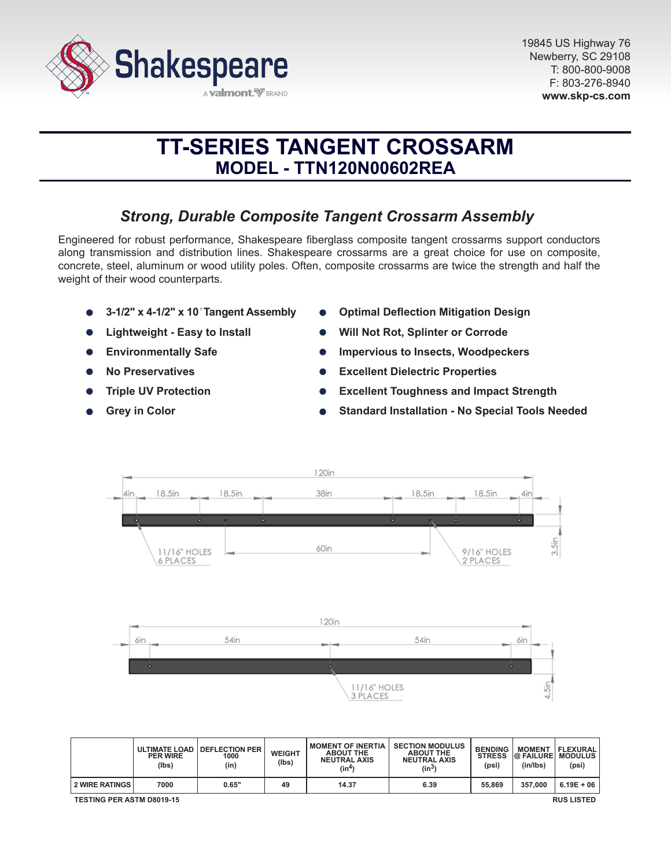

# **TT-SERIES TANGENT CROSSARM MODEL - TTN120N00602REA**

# *Strong, Durable Composite Tangent Crossarm Assembly*

Engineered for robust performance, Shakespeare fiberglass composite tangent crossarms support conductors along transmission and distribution lines. Shakespeare crossarms are a great choice for use on composite, concrete, steel, aluminum or wood utility poles. Often, composite crossarms are twice the strength and half the weight of their wood counterparts.

- **3-1/2" x 4-1/2" x 10***'* **Tangent Assembly**
- **Lightweight Easy to Install**
- **Environmentally Safe**  $\bullet$
- **No Preservatives**
- **Triple UV Protection**
- **Grey in Color**
- **Optimal Deflection Mitigation Design**
- **Will Not Rot, Splinter or Corrode**
- **Impervious to Insects, Woodpeckers**
- **Excellent Dielectric Properties**
- **Excellent Toughness and Impact Strength**
- **Standard Installation No Special Tools Needed**



|                                                       | <b>ULTIMATE LOAD</b><br><b>PER WIRE</b><br>(lbs) | <b>I DEFLECTION PER</b><br>1000<br>(in) | <b>WEIGHT</b><br>(lbs) | <b>MOMENT OF INERTIA</b><br><b>ABOUT THE</b><br><b>NEUTRAL AXIS</b><br>(in <sup>4</sup> ) | <b>SECTION MODULUS</b><br><b>ABOUT THE</b><br><b>NEUTRAL AXIS</b><br>(in <sup>3</sup> ) | <b>BENDING</b><br><b>STRESS</b><br>(psi) | <b>MOMENT</b><br><b>@ FAILURE MODULUS</b><br>(in/lbs) | FLEXURAL<br>(psi) |
|-------------------------------------------------------|--------------------------------------------------|-----------------------------------------|------------------------|-------------------------------------------------------------------------------------------|-----------------------------------------------------------------------------------------|------------------------------------------|-------------------------------------------------------|-------------------|
| <b>2 WIRE RATINGS</b>                                 | 7000                                             | 0.65"                                   | 49                     | 14.37                                                                                     | 6.39                                                                                    | 55,869                                   | 357.000                                               | $6.19E + 06$      |
| <b>TESTING PER ASTM D8019-15</b><br><b>RUS LISTED</b> |                                                  |                                         |                        |                                                                                           |                                                                                         |                                          |                                                       |                   |